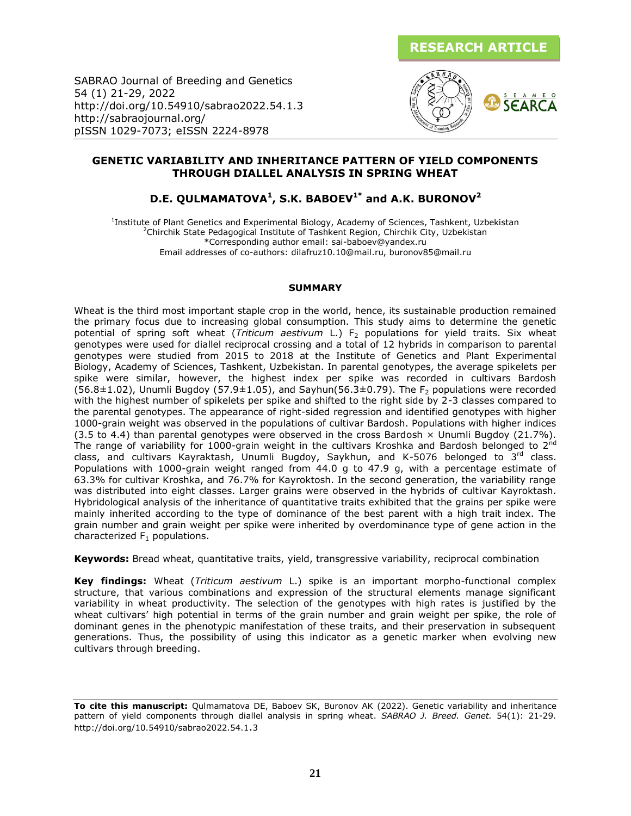

SABRAO Journal of Breeding and Genetics 54 (1) 21-29, 2022 http://doi.org/10.54910/sabrao2022.54.1.3 http://sabraojournal.org/ pISSN 1029-7073; eISSN 2224-8978



# **GENETIC VARIABILITY AND INHERITANCE PATTERN OF YIELD COMPONENTS THROUGH DIALLEL ANALYSIS IN SPRING WHEAT**

# **D.E. QULMAMATOVA<sup>1</sup> , S.K. BABOEV1\* and A.K. BURONOV<sup>2</sup>**

<sup>1</sup>Institute of Plant Genetics and Experimental Biology, Academy of Sciences, Tashkent, Uzbekistan <sup>2</sup>Chirchik State Pedagogical Institute of Tashkent Region, Chirchik City, Uzbekistan \*Corresponding author email: sai-baboev@yandex.ru Email addresses of co-authors: dilafruz10.10@mail.ru, buronov85@mail.ru

#### **SUMMARY**

Wheat is the third most important staple crop in the world, hence, its sustainable production remained the primary focus due to increasing global consumption. This study aims to determine the genetic potential of spring soft wheat (*Triticum aestivum* L.) F<sub>2</sub> populations for yield traits. Six wheat genotypes were used for diallel reciprocal crossing and a total of 12 hybrids in comparison to parental genotypes were studied from 2015 to 2018 at the Institute of Genetics and Plant Experimental Biology, Academy of Sciences, Tashkent, Uzbekistan. In parental genotypes, the average spikelets per spike were similar, however, the highest index per spike was recorded in cultivars Bardosh  $(56.8\pm1.02)$ , Unumli Bugdoy  $(57.9\pm1.05)$ , and Sayhun(56.3 $\pm$ 0.79). The F<sub>2</sub> populations were recorded with the highest number of spikelets per spike and shifted to the right side by 2-3 classes compared to the parental genotypes. The appearance of right-sided regression and identified genotypes with higher 1000-grain weight was observed in the populations of cultivar Bardosh. Populations with higher indices  $(3.5 \text{ to } 4.4)$  than parental genotypes were observed in the cross Bardosh  $\times$  Unumli Bugdoy  $(21.7\%)$ . The range of variability for 1000-grain weight in the cultivars Kroshka and Bardosh belonged to 2<sup>nd</sup> class, and cultivars Kayraktash, Unumli Bugdoy, Saykhun, and K-5076 belonged to 3<sup>rd</sup> class. Populations with 1000-grain weight ranged from 44.0 g to 47.9 g, with a percentage estimate of 63.3% for cultivar Kroshka, and 76.7% for Kayroktosh. In the second generation, the variability range was distributed into eight classes. Larger grains were observed in the hybrids of cultivar Kayroktash. Hybridological analysis of the inheritance of quantitative traits exhibited that the grains per spike were mainly inherited according to the type of dominance of the best parent with a high trait index. The grain number and grain weight per spike were inherited by overdominance type of gene action in the characterized  $F_1$  populations.

**Keywords:** Bread wheat, quantitative traits, yield, transgressive variability, reciprocal combination

**Key findings:** Wheat (*Triticum aestivum* L.) spike is an important morpho-functional complex structure, that various combinations and expression of the structural elements manage significant variability in wheat productivity. The selection of the genotypes with high rates is justified by the wheat cultivars' high potential in terms of the grain number and grain weight per spike, the role of dominant genes in the phenotypic manifestation of these traits, and their preservation in subsequent generations. Thus, the possibility of using this indicator as a genetic marker when evolving new cultivars through breeding.

**To cite this manuscript:** Qulmamatova DE, Baboev SK, Buronov AK (2022). Genetic variability and inheritance pattern of yield components through diallel analysis in spring wheat. *SABRAO J. Breed. Genet.* 54(1): 21-29. http://doi.org/10.54910/sabrao2022.54.1.3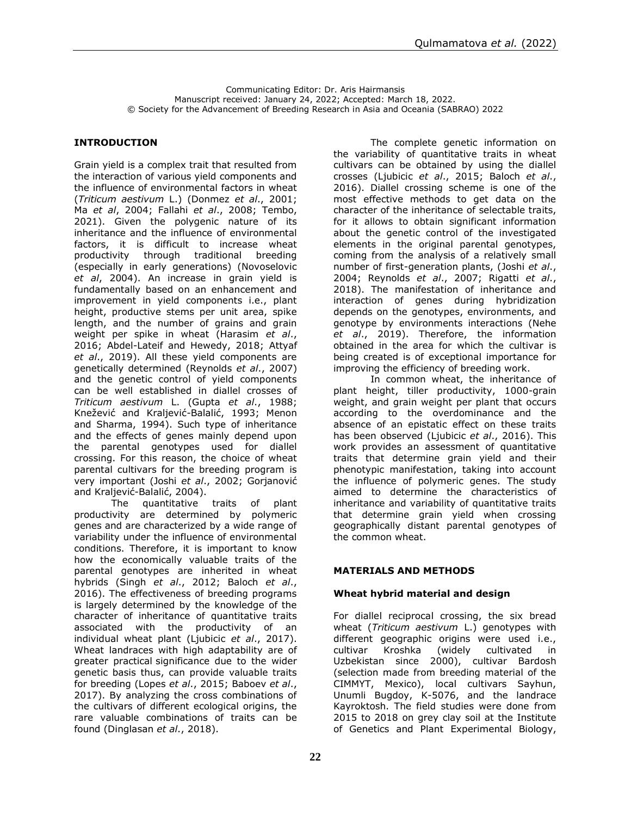Communicating Editor: Dr. Aris Hairmansis Manuscript received: January 24, 2022; Accepted: March 18, 2022. © Society for the Advancement of Breeding Research in Asia and Oceania (SABRAO) 2022

#### **INTRODUCTION**

Grain yield is a complex trait that resulted from the interaction of various yield components and the influence of environmental factors in wheat (*Triticum aestivum* L.) (Donmez *et al*., 2001; Ma *et al*, 2004; Fallahi *et al*., 2008; Tembo, 2021). Given the polygenic nature of its inheritance and the influence of environmental factors, it is difficult to increase wheat productivity through traditional breeding (especially in early generations) (Novoselovic *et al*, 2004). An increase in grain yield is fundamentally based on an enhancement and improvement in yield components i.e., plant height, productive stems per unit area, spike length, and the number of grains and grain weight per spike in wheat (Harasim *et al*., 2016; Abdel-Lateif and Hewedy, 2018; Attyaf *et al*., 2019). All these yield components are genetically determined (Reynolds *et al*., 2007) and the genetic control of yield components can be well established in diallel crosses of *Triticum aestivum* L. (Gupta *et al*., 1988; Knežević and Kraljević-Balalić, 1993; Menon and Sharma, 1994). Such type of inheritance and the effects of genes mainly depend upon the parental genotypes used for diallel crossing. For this reason, the choice of wheat parental cultivars for the breeding program is very important (Joshi *et al*., 2002; Gorjanović and Kraljević-Balalić, 2004).

The quantitative traits of plant productivity are determined by polymeric genes and are characterized by a wide range of variability under the influence of environmental conditions. Therefore, it is important to know how the economically valuable traits of the parental genotypes are inherited in wheat hybrids (Singh *et al*., 2012; Baloch *et al*., 2016). The effectiveness of breeding programs is largely determined by the knowledge of the character of inheritance of quantitative traits associated with the productivity of an individual wheat plant (Ljubicic *et al*., 2017). Wheat landraces with high adaptability are of greater practical significance due to the wider genetic basis thus, can provide valuable traits for breeding (Lopes *et al*., 2015; Baboev *et al*., 2017). By analyzing the cross combinations of the cultivars of different ecological origins, the rare valuable combinations of traits can be found (Dinglasan *et al*., 2018).

The complete genetic information on the variability of quantitative traits in wheat cultivars can be obtained by using the diallel crosses (Ljubicic *et al*., 2015; Baloch *et al*., 2016). Diallel crossing scheme is one of the most effective methods to get data on the character of the inheritance of selectable traits, for it allows to obtain significant information about the genetic control of the investigated elements in the original parental genotypes, coming from the analysis of a relatively small number of first-generation plants, (Joshi *et al*., 2004; Reynolds *et al*., 2007; Rigatti *et al*., 2018). The manifestation of inheritance and interaction of genes during hybridization depends on the genotypes, environments, and genotype by environments interactions (Nehe *et al*., 2019). Therefore, the information obtained in the area for which the cultivar is being created is of exceptional importance for improving the efficiency of breeding work.

In common wheat, the inheritance of plant height, tiller productivity, 1000-grain weight, and grain weight per plant that occurs according to the overdominance and the absence of an epistatic effect on these traits has been observed (Ljubicic *et al*., 2016). This work provides an assessment of quantitative traits that determine grain yield and their phenotypic manifestation, taking into account the influence of polymeric genes. The [study](https://context.reverso.net/%D0%BF%D0%B5%D1%80%D0%B5%D0%B2%D0%BE%D0%B4/%D0%B0%D0%BD%D0%B3%D0%BB%D0%B8%D0%B9%D1%81%D0%BA%D0%B8%D0%B9-%D1%80%D1%83%D1%81%D1%81%D0%BA%D0%B8%D0%B9/aim+of+the+study) aimed to determine the characteristics of inheritance and variability of quantitative traits that determine grain yield when crossing geographically distant parental genotypes of the common wheat.

#### **MATERIALS AND METHODS**

#### **Wheat hybrid material and design**

For diallel reciprocal crossing, the six bread wheat (*Triticum aestivum* L.) genotypes with different geographic origins were used i.e., cultivar Kroshka (widely cultivated in Uzbekistan since 2000), cultivar Bardosh (selection made from breeding material of the CIMMYT, Mexico), local cultivars Sayhun, Unumli Bugdoy, K-5076, and the landrace Kayroktosh. The field studies were done from 2015 to 2018 on grey clay soil at the Institute of Genetics and Plant Experimental Biology,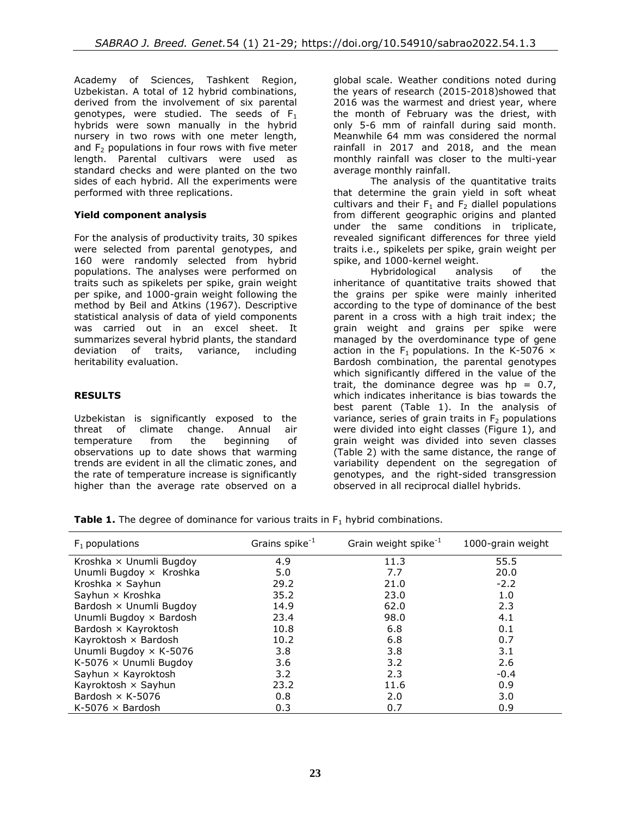Academy of Sciences, Tashkent Region, Uzbekistan. A total of 12 hybrid combinations, derived from the involvement of six parental genotypes, were studied. The seeds of  $F_1$ hybrids were sown manually in the hybrid nursery in two rows with one meter length, and  $F_2$  populations in four rows with five meter length. Parental cultivars were used as standard checks and were planted on the two sides of each hybrid. All the experiments were performed with three replications[.](https://ludwig.guru/s/All+experiments+were+performed+in+triplicate+and+Data+are+presented+as+mean+%C2%B1)

# **Yield component analysis**

For the analysis of productivity traits, 30 spikes were selected from parental genotypes, and 160 were randomly selected from hybrid populations. The analyses were performed on traits such as spikelets per spike, grain weight per spike, and 1000-grain weight following the method by Beil and Atkins (1967). Descriptive statistical analysis of data of yield components was carried out in an excel sheet. It summarizes several hybrid plants, the standard deviation of traits, variance, including heritability evaluation.

# **RESULTS**

Uzbekistan is significantly exposed to the threat of climate change. Annual air temperature from the beginning of observations up to date shows that warming trends are evident in all the climatic zones, and the rate of temperature increase is significantly higher than the average rate observed on a

global scale. Weather conditions noted during the years of research (2015-2018)showed that 2016 was the warmest and driest year, where the month of February was the driest, with only 5-6 mm of rainfall during said month. Meanwhile 64 mm was considered the normal rainfall in 2017 and 2018, and the mean monthly rainfall was closer to the multi-year average monthly rainfall.

The analysis of the quantitative traits that determine the grain yield in soft wheat cultivars and their  $F_1$  and  $F_2$  diallel populations from different geographic origins and planted under the same conditions in triplicate, revealed significant differences for three yield traits i.e., spikelets per spike, grain weight per spike, and 1000-kernel weight.

Hybridological analysis of the inheritance of quantitative traits showed that the grains per spike were mainly inherited according to the type of dominance of the best parent in a cross with a high trait index; the grain weight and grains per spike were managed by the overdominance type of gene action in the F<sub>1</sub> populations. In the K-5076  $\times$ Bardosh combination, the parental genotypes which significantly differed in the value of the trait, the dominance degree was  $hp = 0.7$ , which indicates inheritance is bias towards the best parent (Table 1). In the analysis of variance, series of grain traits in  $F<sub>2</sub>$  populations were divided into eight classes (Figure 1), and grain weight was divided into seven classes (Table 2) with the same distance, the range of variability dependent on the segregation of genotypes, and the right-sided transgression observed in all reciprocal diallel hybrids.

**Table 1.** The degree of dominance for various traits in  $F_1$  hybrid combinations.

| $F_1$ populations             | Grains spike $^{-1}$ | Grain weight spike <sup>-1</sup> | 1000-grain weight |
|-------------------------------|----------------------|----------------------------------|-------------------|
| Kroshka × Unumli Bugdoy       | 4.9                  | 11.3                             | 55.5              |
| Unumli Bugdoy x Kroshka       | 5.0                  | 7.7                              | 20.0              |
| Kroshka × Sayhun              | 29.2                 | 21.0                             | $-2.2$            |
| Sayhun × Kroshka              | 35.2                 | 23.0                             | 1.0               |
| Bardosh x Unumli Bugdoy       | 14.9                 | 62.0                             | 2.3               |
| Unumli Bugdoy × Bardosh       | 23.4                 | 98.0                             | 4.1               |
| Bardosh × Kayroktosh          | 10.8                 | 6.8                              | 0.1               |
| Kayroktosh × Bardosh          | 10.2                 | 6.8                              | 0.7               |
| Unumli Bugdoy × K-5076        | 3.8                  | 3.8                              | 3.1               |
| K-5076 $\times$ Unumli Bugdoy | 3.6                  | 3.2                              | 2.6               |
| Sayhun × Kayroktosh           | 3.2                  | 2.3                              | $-0.4$            |
| Kayroktosh × Sayhun           | 23.2                 | 11.6                             | 0.9               |
| Bardosh $\times$ K-5076       | 0.8                  | 2.0                              | 3.0               |
| K-5076 $\times$ Bardosh       | 0.3                  | 0.7                              | 0.9               |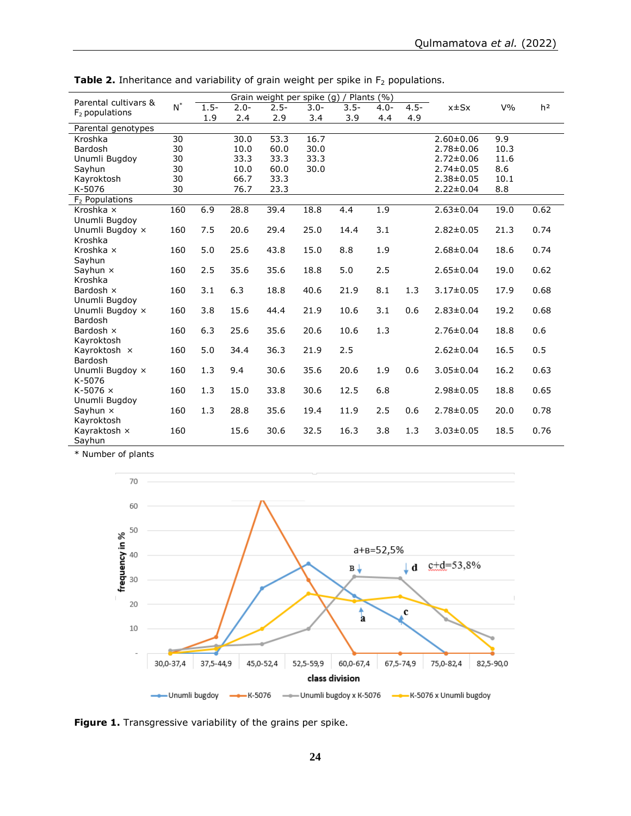| Plants $(\% )$<br>Grain weight per spike (g)<br>Parental cultivars & |       |         |         |         |         |         |         |         |                 |       |                |
|----------------------------------------------------------------------|-------|---------|---------|---------|---------|---------|---------|---------|-----------------|-------|----------------|
| $F2$ populations                                                     | $N^*$ | $1.5 -$ | $2.0 -$ | $2.5 -$ | $3.0 -$ | $3.5 -$ | $4.0 -$ | $4.5 -$ | $x \pm Sx$      | $V\%$ | h <sup>2</sup> |
|                                                                      |       | 1.9     | 2.4     | 2.9     | 3.4     | 3.9     | 4.4     | 4.9     |                 |       |                |
| Parental genotypes                                                   |       |         |         |         |         |         |         |         |                 |       |                |
| Kroshka                                                              | 30    |         | 30.0    | 53.3    | 16.7    |         |         |         | $2.60 \pm 0.06$ | 9.9   |                |
| <b>Bardosh</b>                                                       | 30    |         | 10.0    | 60.0    | 30.0    |         |         |         | $2.78 \pm 0.06$ | 10.3  |                |
| Unumli Bugdoy                                                        | 30    |         | 33.3    | 33.3    | 33.3    |         |         |         | $2.72 \pm 0.06$ | 11.6  |                |
| Sayhun                                                               | 30    |         | 10.0    | 60.0    | 30.0    |         |         |         | $2.74 \pm 0.05$ | 8.6   |                |
| Kayroktosh                                                           | 30    |         | 66.7    | 33.3    |         |         |         |         | $2.38 \pm 0.05$ | 10.1  |                |
| K-5076                                                               | 30    |         | 76.7    | 23.3    |         |         |         |         | $2.22 \pm 0.04$ | 8.8   |                |
| $F2$ Populations                                                     |       |         |         |         |         |         |         |         |                 |       |                |
| Kroshka ×                                                            | 160   | 6.9     | 28.8    | 39.4    | 18.8    | 4.4     | 1.9     |         | $2.63 \pm 0.04$ | 19.0  | 0.62           |
| Unumli Bugdoy                                                        |       |         |         |         |         |         |         |         |                 |       |                |
| Unumli Bugdoy x                                                      | 160   | 7.5     | 20.6    | 29.4    | 25.0    | 14.4    | 3.1     |         | $2.82 \pm 0.05$ | 21.3  | 0.74           |
| Kroshka                                                              |       |         |         |         |         |         |         |         |                 |       |                |
| Kroshka x                                                            | 160   | 5.0     | 25.6    | 43.8    | 15.0    | 8.8     | 1.9     |         | $2.68 \pm 0.04$ | 18.6  | 0.74           |
| Sayhun                                                               |       |         |         |         |         |         |         |         |                 |       |                |
| Sayhun $\times$                                                      | 160   | 2.5     | 35.6    | 35.6    | 18.8    | 5.0     | 2.5     |         | $2.65 \pm 0.04$ | 19.0  | 0.62           |
| Kroshka                                                              |       |         |         |         |         |         |         |         |                 |       |                |
| Bardosh x                                                            | 160   | 3.1     | 6.3     | 18.8    | 40.6    | 21.9    | 8.1     | 1.3     | $3.17 \pm 0.05$ | 17.9  | 0.68           |
| Unumli Bugdoy                                                        |       |         | 15.6    |         |         |         |         | 0.6     |                 |       |                |
| Unumli Bugdoy x<br>Bardosh                                           | 160   | 3.8     |         | 44.4    | 21.9    | 10.6    | 3.1     |         | $2.83 \pm 0.04$ | 19.2  | 0.68           |
| Bardosh x                                                            | 160   | 6.3     | 25.6    | 35.6    | 20.6    | 10.6    | 1.3     |         | $2.76 \pm 0.04$ | 18.8  | 0.6            |
| Kayroktosh                                                           |       |         |         |         |         |         |         |         |                 |       |                |
| Kayroktosh x                                                         | 160   | 5.0     | 34.4    | 36.3    | 21.9    | 2.5     |         |         | $2.62 \pm 0.04$ | 16.5  | 0.5            |
| <b>Bardosh</b>                                                       |       |         |         |         |         |         |         |         |                 |       |                |
| Unumli Bugdoy x                                                      | 160   | 1.3     | 9.4     | 30.6    | 35.6    | 20.6    | 1.9     | 0.6     | $3.05 \pm 0.04$ | 16.2  | 0.63           |
| K-5076                                                               |       |         |         |         |         |         |         |         |                 |       |                |
| $K-5076 \times$                                                      | 160   | 1.3     | 15.0    | 33.8    | 30.6    | 12.5    | 6.8     |         | $2.98 \pm 0.05$ | 18.8  | 0.65           |
| Unumli Bugdoy                                                        |       |         |         |         |         |         |         |         |                 |       |                |
| Sayhun $\times$                                                      | 160   | 1.3     | 28.8    | 35.6    | 19.4    | 11.9    | 2.5     | 0.6     | $2.78 \pm 0.05$ | 20.0  | 0.78           |
| Kayroktosh                                                           |       |         |         |         |         |         |         |         |                 |       |                |
| Kayraktosh x                                                         | 160   |         | 15.6    | 30.6    | 32.5    | 16.3    | 3.8     | 1.3     | $3.03 \pm 0.05$ | 18.5  | 0.76           |
| Sayhun                                                               |       |         |         |         |         |         |         |         |                 |       |                |

Table 2. Inheritance and variability of grain weight per spike in F<sub>2</sub> populations.

\* Number of plants



**Figure 1.** Transgressive variability of the grains per spike.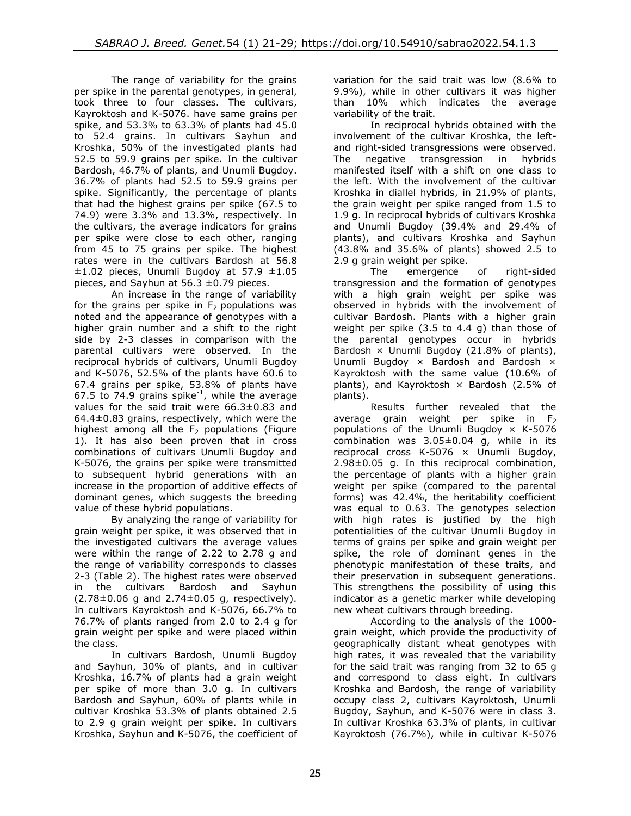The range of variability for the grains per spike in the parental genotypes, in general, took three to four classes. The cultivars, Kayroktosh and K-5076. have same grains per spike, and 53.3% to 63.3% of plants had 45.0 to 52.4 grains. In cultivars Sayhun and Kroshka, 50% of the investigated plants had 52.5 to 59.9 grains per spike. In the cultivar Bardosh, 46.7% of plants, and Unumli Bugdoy. 36.7% of plants had 52.5 to 59.9 grains per spike. Significantly, the percentage of plants that had the highest grains per spike (67.5 to 74.9) were 3.3% and 13.3%, respectively. In the cultivars, the average indicators for grains per spike were close to each other, ranging from 45 to 75 grains per spike. The highest rates were in the cultivars Bardosh at 56.8  $\pm 1.02$  pieces, Unumli Bugdoy at 57.9  $\pm 1.05$ pieces, and Sayhun at  $56.3 \pm 0.79$  pieces.

An increase in the range of variability for the grains per spike in  $F_2$  populations was noted and the appearance of genotypes with a higher grain number and a shift to the right side by 2-3 classes in comparison with the parental cultivars were observed. In the reciprocal hybrids of cultivars, Unumli Bugdoy and K-5076, 52.5% of the plants have 60.6 to 67.4 grains per spike, 53.8% of plants have 67.5 to 74.9 grains spike $^{-1}$ , while the average values for the said trait were 66.3±0.83 and 64.4±0.83 grains, respectively, which were the highest among all the  $F<sub>2</sub>$  populations (Figure 1). It has also been proven that in cross combinations of cultivars Unumli Bugdoy and K-5076, the grains per spike were transmitted to subsequent hybrid generations with an increase in the proportion of additive effects of dominant genes, which suggests the breeding value of these hybrid populations.

By analyzing the range of variability for grain weight per spike, it was observed that in the investigated cultivars the average values were within the range of 2.22 to 2.78 g and the range of variability corresponds to classes 2-3 (Table 2). The highest rates were observed in the cultivars Bardosh and Sayhun  $(2.78 \pm 0.06$  g and  $2.74 \pm 0.05$  g, respectively). In cultivars Kayroktosh and K-5076, 66.7% to 76.7% of plants ranged from 2.0 to 2.4 g for grain weight per spike and were placed within the class.

In cultivars Bardosh, Unumli Bugdoy and Sayhun, 30% of plants, and in cultivar Kroshka, 16.7% of plants had a grain weight per spike of more than 3.0 g. In cultivars Bardosh and Sayhun, 60% of plants while in cultivar Kroshka 53.3% of plants obtained 2.5 to 2.9 g grain weight per spike. In cultivars Kroshka, Sayhun and K-5076, the coefficient of

variation for the said trait was low (8.6% to 9.9%), while in other cultivars it was higher than 10% which indicates the average variability of the trait.

In reciprocal hybrids obtained with the involvement of the cultivar Kroshka, the leftand right-sided transgressions were observed.<br>The negative transgression in hybrids The negative transgression in manifested itself with a shift on one class to the left. With the involvement of the cultivar Kroshka in diallel hybrids, in 21.9% of plants, the grain weight per spike ranged from 1.5 to 1.9 g. In reciprocal hybrids of cultivars Kroshka and Unumli Bugdoy (39.4% and 29.4% of plants), and cultivars Kroshka and Sayhun (43.8% and 35.6% of plants) showed 2.5 to 2.9 g grain weight per spike.

The emergence of right-sided transgression and the formation of genotypes with a high grain weight per spike was observed in hybrids with the involvement of cultivar Bardosh. Plants with a higher grain weight per spike (3.5 to 4.4 g) than those of the parental genotypes occur in hybrids Bardosh  $\times$  Unumli Bugdoy (21.8% of plants), Unumli Bugdoy × Bardosh and Bardosh × Kayroktosh with the same value (10.6% of plants), and Kayroktosh  $\times$  Bardosh (2.5% of plants).

Results further revealed that the average grain weight per spike in  $F_2$ populations of the Unumli Bugdoy  $\times$  K-5076 combination was 3.05±0.04 g, while in its reciprocal cross K-5076  $\times$  Unumli Bugdoy, 2.98±0.05 g. In this reciprocal combination, the percentage of plants with a higher grain weight per spike (compared to the parental forms) was 42.4%, the heritability coefficient was equal to 0.63. The genotypes selection with high rates is justified by the high potentialities of the cultivar Unumli Bugdoy in terms of grains per spike and grain weight per spike, the role of dominant genes in the phenotypic manifestation of these traits, and their preservation in subsequent generations. This strengthens the possibility of using this indicator as a genetic marker while developing new wheat cultivars through breeding.

According to the analysis of the 1000 grain weight, which provide the productivity of geographically distant wheat genotypes with high rates, it was revealed that the variability for the said trait was ranging from 32 to 65 g and correspond to class eight. In cultivars Kroshka and Bardosh, the range of variability occupy class 2, cultivars Kayroktosh, Unumli Bugdoy, Sayhun, and K-5076 were in class 3. In cultivar Kroshka 63.3% of plants, in cultivar Kayroktosh (76.7%), while in cultivar K-5076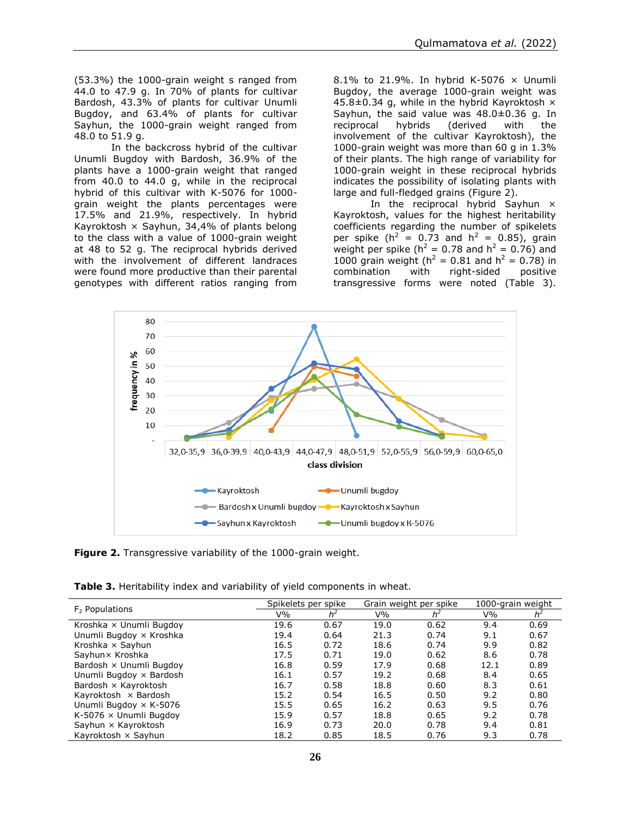(53.3%) the 1000-grain weight s ranged from 44.0 to 47.9 g. In 70% of plants for cultivar Bardosh, 43.3% of plants for cultivar Unumli Bugdoy, and 63.4% of plants for cultivar Sayhun, the 1000-grain weight ranged from 48.0 to 51.9 g.

In the backcross hybrid of the cultivar Unumli Bugdoy with Bardosh, 36.9% of the plants have a 1000-grain weight that ranged from 40.0 to 44.0 g, while in the reciprocal hybrid of this cultivar with K-5076 for 1000 grain weight the plants percentages were 17.5% and 21.9%, respectively. In hybrid Kayroktosh  $\times$  Sayhun, 34,4% of plants belong to the class with a value of 1000-grain weight at 48 to 52 g. The reciprocal hybrids derived with the involvement of different landraces were found more productive than their parental genotypes with different ratios ranging from

8.1% to 21.9%. In hybrid K-5076 × Unumli Bugdoy, the average 1000-grain weight was 45.8 $\pm$ 0.34 g, while in the hybrid Kayroktosh  $\times$ Sayhun, the said value was 48.0±0.36 g. In reciprocal hybrids (derived with the involvement of the cultivar Kayroktosh), the 1000-grain weight was more than 60 g in 1.3% of their plants. The high range of variability for 1000-grain weight in these reciprocal hybrids indicates the possibility of isolating plants with large and full-fledged grains (Figure 2).

In the reciprocal hybrid Sayhun  $\times$ Kayroktosh, values for the highest heritability coefficients regarding the number of spikelets per spike ( $h^2 = 0.73$  and  $h^2 = 0.85$ ), grain weight per spike ( $h^2 = 0.78$  and  $h^2 = 0.76$ ) and 1000 grain weight ( $h^2 = 0.81$  and  $h^2 = 0.78$ ) in combination with right-sided positive transgressive forms were noted (Table 3).



**Figure 2.** Transgressive variability of the 1000-grain weight.

| Table 3. Heritability index and variability of yield components in wheat. |  |  |
|---------------------------------------------------------------------------|--|--|
|---------------------------------------------------------------------------|--|--|

|                               | Spikelets per spike |       |      | Grain weight per spike | 1000-grain weight |       |  |
|-------------------------------|---------------------|-------|------|------------------------|-------------------|-------|--|
| $F2$ Populations              | V%                  | $h^2$ | V%   | $h^2$                  | V%                | $h^2$ |  |
| Kroshka × Unumli Bugdoy       | 19.6                | 0.67  | 19.0 | 0.62                   | 9.4               | 0.69  |  |
| Unumli Bugdoy x Kroshka       | 19.4                | 0.64  | 21.3 | 0.74                   | 9.1               | 0.67  |  |
| Kroshka × Sayhun              | 16.5                | 0.72  | 18.6 | 0.74                   | 9.9               | 0.82  |  |
| Sayhun × Kroshka              | 17.5                | 0.71  | 19.0 | 0.62                   | 8.6               | 0.78  |  |
| Bardosh x Unumli Bugdoy       | 16.8                | 0.59  | 17.9 | 0.68                   | 12.1              | 0.89  |  |
| Unumli Bugdoy × Bardosh       | 16.1                | 0.57  | 19.2 | 0.68                   | 8.4               | 0.65  |  |
| Bardosh $\times$ Kayroktosh   | 16.7                | 0.58  | 18.8 | 0.60                   | 8.3               | 0.61  |  |
| Kayroktosh × Bardosh          | 15.2                | 0.54  | 16.5 | 0.50                   | 9.2               | 0.80  |  |
| Unumli Bugdoy × K-5076        | 15.5                | 0.65  | 16.2 | 0.63                   | 9.5               | 0.76  |  |
| K-5076 $\times$ Unumli Bugdoy | 15.9                | 0.57  | 18.8 | 0.65                   | 9.2               | 0.78  |  |
| Sayhun × Kayroktosh           | 16.9                | 0.73  | 20.0 | 0.78                   | 9.4               | 0.81  |  |
| Kayroktosh × Sayhun           | 18.2                | 0.85  | 18.5 | 0.76                   | 9.3               | 0.78  |  |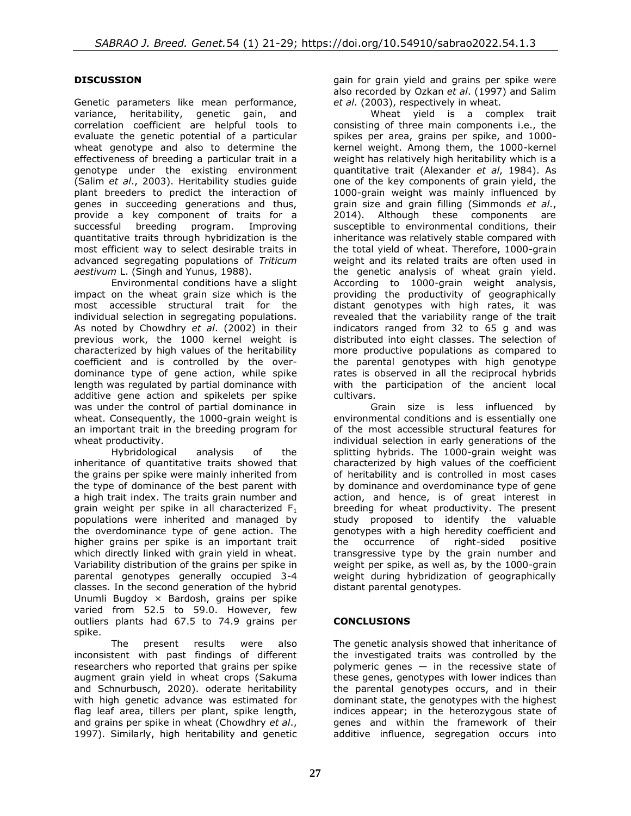# **DISCUSSION**

Genetic parameters like mean performance, variance, heritability, genetic gain, and correlation coefficient are helpful tools to evaluate the genetic potential of a particular wheat genotype and also to determine the effectiveness of breeding a particular trait in a genotype under the existing environment (Salim *et al*., 2003). Heritability studies guide plant breeders to predict the interaction of genes in succeeding generations and thus, provide a key component of traits for a successful breeding program. Improving quantitative traits through hybridization is the most efficient way to select desirable traits in advanced segregating populations of *Triticum aestivum* L. (Singh and Yunus, 1988).

Environmental conditions have a slight impact on the wheat grain size which is the most accessible structural trait for the individual selection in segregating populations. As noted by Chowdhry *et al*. (2002) in their previous work, the 1000 kernel weight is characterized by high values of the heritability coefficient and is controlled by the overdominance type of gene action, while spike length was regulated by partial dominance with additive gene action and spikelets per spike was under the control of partial dominance in wheat. Consequently, the 1000-grain weight is an important trait in the breeding program for wheat productivity.

Hybridological analysis of the inheritance of quantitative traits showed that the grains per spike were mainly inherited from the type of dominance of the best parent with a high trait index. The traits grain number and grain weight per spike in all characterized  $F_1$ populations were inherited and managed by the overdominance type of gene action. The higher grains per spike is an important trait which directly linked with grain yield in wheat. Variability distribution of the grains per spike in parental genotypes generally occupied 3-4 classes. In the second generation of the hybrid Unumli Bugdoy × Bardosh, grains per spike varied from 52.5 to 59.0. However, few outliers plants had 67.5 to 74.9 grains per spike.

The present results were also inconsistent with past findings of different researchers who reported that grains per spike augment grain yield in wheat crops [\(Sakuma](https://www.ncbi.nlm.nih.gov/pmc/articles/PMC8459068/#b0245)  [and Schnurbusch, 2020\)](https://www.ncbi.nlm.nih.gov/pmc/articles/PMC8459068/#b0245). oderate heritability with high genetic advance was estimated for flag leaf area, tillers per plant, spike length, and grains per spike in wheat (Chowdhry *et al*., 1997). Similarly, high heritability and genetic

gain for grain yield and grains per spike were also recorded by Ozkan *et al*. (1997) and Salim *et al*. (2003), respectively in wheat.

Wheat yield is a complex trait consisting of three main components i.e., the spikes per area, grains per spike, and 1000 kernel weight. Among them, the 1000-kernel weight has relatively high heritability which is a quantitative trait (Alexander *et al*, 1984). As one of the key components of grain yield, the 1000-grain weight was mainly influenced by grain size and grain filling (Simmonds *et al*., 2014). Although these components are susceptible to environmental conditions, their inheritance was relatively stable compared with the total yield of wheat. Therefore, 1000-grain weight and its related traits are often used in the genetic analysis of wheat grain yield. According to 1000-grain weight analysis, providing the productivity of geographically distant genotypes with high rates, it was revealed that the variability range of the trait indicators ranged from 32 to 65 g and was distributed into eight classes. The selection of more productive populations as compared to the parental genotypes with high genotype rates is observed in all the reciprocal hybrids with the participation of the ancient local cultivars.

Grain size is less influenced by environmental conditions and is essentially one of the most accessible structural features for individual selection in early generations of the splitting hybrids. The 1000-grain weight was characterized by high values of the coefficient of heritability and is controlled in most cases by dominance and overdominance type of gene action, and hence, is of great interest in breeding for wheat productivity. The present study proposed to identify the valuable genotypes with a high heredity coefficient and the occurrence of right-sided positive transgressive type by the grain number and weight per spike, as well as, by the 1000-grain weight during hybridization of geographically distant parental genotypes.

# **CONCLUSIONS**

The genetic analysis showed that inheritance of the investigated traits was controlled by the polymeric genes  $-$  in the recessive state of these genes, genotypes with lower indices than the parental genotypes occurs, and in their dominant state, the genotypes with the highest indices appear; in the heterozygous state of genes and within the framework of their additive influence, segregation occurs into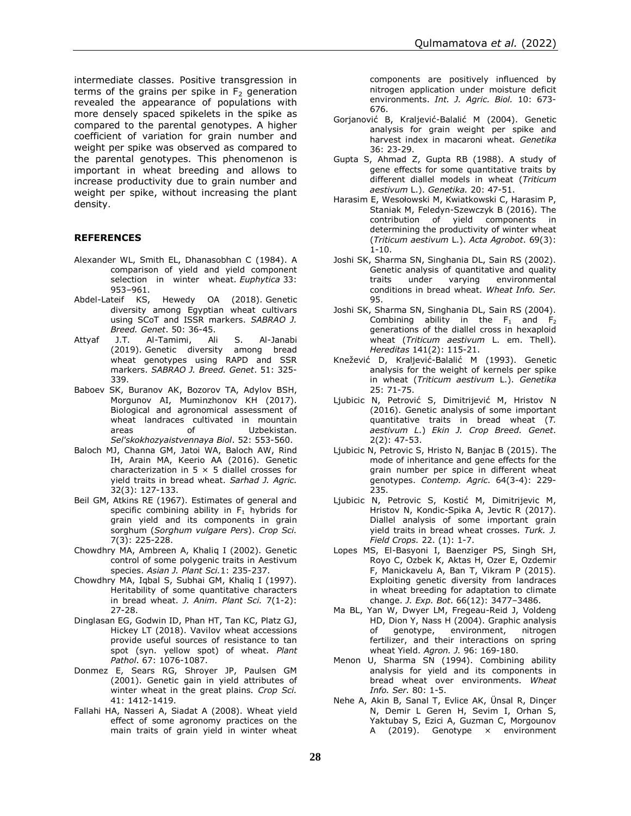intermediate classes. Positive transgression in terms of the grains per spike in  $F<sub>2</sub>$  generation revealed the appearance of populations with more densely spaced spikelets in the spike as compared to the parental genotypes. A higher coefficient of variation for grain number and weight per spike was observed as compared to the parental genotypes. This phenomenon is important in wheat breeding and allows to increase productivity due to grain number and weight per spike, without increasing the plant density.

#### **REFERENCES**

- Alexander WL, Smith EL, Dhanasobhan C (1984). A comparison of yield and yield component selection in winter wheat. *Euphytica* 33: .953–961<br>,Abdel-Lateif KS
- Hewedy OA (2018). Genetic [diversity among Egyptian wheat cultivars](http://sabraojournal.org/wp-content/uploads/2018/03/SABRAO-J-Breed-Genet-50-1-36-45-ABDEL-LATEIF.pdf)  [using SCoT and ISSR markers.](http://sabraojournal.org/wp-content/uploads/2018/03/SABRAO-J-Breed-Genet-50-1-36-45-ABDEL-LATEIF.pdf) *SABRAO J. Breed. Genet*. 50: 36-45.
- Attyaf J.T. Al-Tamimi, Ali S. Al-Janabi (2019). [Genetic diversity among bread](http://sabraojournal.org/wp-content/uploads/2019/09/SABRAO-J-Breed-Genet-51-3-325-339-AL-TAMIMI.pdf)  [wheat genotypes using RAPD and SSR](http://sabraojournal.org/wp-content/uploads/2019/09/SABRAO-J-Breed-Genet-51-3-325-339-AL-TAMIMI.pdf)  [markers.](http://sabraojournal.org/wp-content/uploads/2019/09/SABRAO-J-Breed-Genet-51-3-325-339-AL-TAMIMI.pdf) *SABRAO J. Breed. Genet*. 51: 325- 339.
- Baboev SK, Buranov AK, Bozorov TA, Adylov BSH, Morgunov AI, Muminzhonov KH (2017). Biological and agronomical assessment of wheat landraces cultivated in mountain areas of Uzbekistan. *Sel'skokhozyaistvennaya Biol*. 52: 553-560.
- Baloch MJ, Channa GM, Jatoi WA, Baloch AW, Rind IH, Arain MA, Keerio AA (2016). Genetic characterization in  $5 \times 5$  diallel crosses for yield traits in bread wheat. *Sarhad J. Agric.* 32(3): 127-133.
- Beil GM, Atkins RE (1967). Estimates of general and specific combining ability in  $F_1$  hybrids for grain yield and its components in grain sorghum (*Sorghum vulgare Pers*). *Crop Sci.* 7(3): 225-228.
- Chowdhry MA, Ambreen A, Khaliq I (2002). Genetic control of some polygenic traits in Aestivum species. *Asian J. Plant Sci.*1: 235-237.
- Chowdhry MA, Iqbal S, Subhai GM, Khaliq I (1997). Heritability of some quantitative characters in bread wheat. *J. Anim. Plant Sci.* 7(1-2): 27-28.
- Dinglasan EG, Godwin ID, Phan HT, Tan KC, Platz GJ, Hickey LT (2018). Vavilov wheat accessions provide useful sources of resistance to tan spot (syn. yellow spot) of wheat. *Plant Pathol*. 67: 1076-1087.
- Donmez E, Sears RG, Shroyer JP, Paulsen GM (2001). Genetic gain in yield attributes of winter wheat in the great plains. *Crop Sci.* 41: 1412-1419.
- Fallahi HA, Nasseri A, Siadat A (2008). Wheat yield effect of some agronomy practices on the main traits of grain yield in winter wheat

components are positively influenced by nitrogen application under moisture deficit environments. *Int. J. Agric. Biol.* 10: 673- 676.

- Gorjanović B, Kraljević-Balalić M (2004). Genetic analysis for grain weight per spike and harvest index in macaroni wheat. *Genetika* 36: 23-29.
- Gupta S, Ahmad Z, Gupta RB (1988). A study of gene effects for some quantitative traits by different diallel models in wheat (*Triticum aestivum* L.). *Genetika.* 20: 47-51.
- Harasim E, Wesołowski M, Kwiatkowski C, Harasim P, Staniak M, Feledyn-Szewczyk B (2016). The contribution of yield components in determining the productivity of winter wheat (*Triticum aestivum* L.). *Acta Agrobot*. 69(3): 1-10.
- Joshi SK, Sharma SN, Singhania DL, Sain RS (2002). Genetic analysis of quantitative and quality traits under varying environmental conditions in bread wheat. *Wheat Info. Ser.* 95.
- Joshi SK, Sharma SN, Singhania DL, Sain RS (2004). Combining ability in the  $F_1$  and  $F_2$ generations of the diallel cross in hexaploid wheat (*Triticum aestivum* L. em. Thell). *Hereditas* 141(2): 115-21.
- Knežević D, Kraljević-Balalić M (1993). Genetic analysis for the weight of kernels per spike in wheat (*Triticum aestivum* L.). *Genetika* 25: 71-75.
- Ljubicic N, Petrović S, Dimitrijević M, Hristov N (2016). Genetic analysis of some important quantitative traits in bread wheat (*T. aestivum L*.) *Ekin J. Crop Breed. Genet*. 2(2): 47-53.
- Ljubicic N, Petrovic S, Hristo N, Banjac B (2015). The mode of inheritance and gene effects for the grain number per spice in different wheat genotypes. *Contemp. Agric*. 64(3-4): 229- 235.
- Ljubicic N, Petrovic S, Kostić M, Dimitrijevic M, Hristov N, Kondic-Spika A, Jevtic R (2017). Diallel analysis of some important grain yield traits in bread wheat crosses. *Turk. J. Field Crops.* 22. (1): 1-7.
- Lopes MS, El-Basyoni I, Baenziger PS, Singh SH, Royo C, Ozbek K, Aktas H, Ozer E, Ozdemir F, Manickavelu A, Ban T, Vikram P (2015). Exploiting genetic diversity from landraces in wheat breeding for adaptation to climate change. *J. Exp. Bot*. 66(12): 3477–3486.
- Ma BL, Yan W, Dwyer LM, Fregeau-Reid J, Voldeng HD, Dion Y, Nass H (2004). Graphic analysis of genotype, environment, nitrogen fertilizer, and their interactions on spring wheat Yield. *Agron. J.* 96: 169-180.
- Menon U, Sharma SN (1994). Combining ability analysis for yield and its components in bread wheat over environments. *Wheat Info. Ser.* 80: 1-5.
- Nehe A, Akin B, Sanal T, Evlice AK, Ünsal R, Dinçer N, Demir L Geren H, Sevim I, Orhan S, Yaktubay S, Ezici A, Guzman C, Morgounov A (2019). Genotype x environment